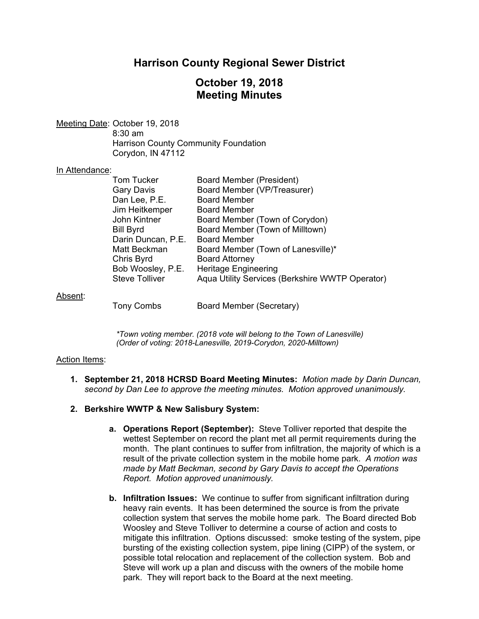## **Harrison County Regional Sewer District**

# **October 19, 2018 Meeting Minutes**

Meeting Date: October 19, 2018 8:30 am Harrison County Community Foundation Corydon, IN 47112

### In Attendance:

| <b>Tom Tucker</b>     | Board Member (President)                        |
|-----------------------|-------------------------------------------------|
| Gary Davis            | Board Member (VP/Treasurer)                     |
| Dan Lee, P.E.         | <b>Board Member</b>                             |
| Jim Heitkemper        | <b>Board Member</b>                             |
| John Kintner          | Board Member (Town of Corydon)                  |
| <b>Bill Byrd</b>      | Board Member (Town of Milltown)                 |
| Darin Duncan, P.E.    | <b>Board Member</b>                             |
| Matt Beckman          | Board Member (Town of Lanesville)*              |
| Chris Byrd            | <b>Board Attorney</b>                           |
| Bob Woosley, P.E.     | <b>Heritage Engineering</b>                     |
| <b>Steve Tolliver</b> | Aqua Utility Services (Berkshire WWTP Operator) |
|                       |                                                 |
|                       |                                                 |

Absent:

Tony Combs Board Member (Secretary)

*\*Town voting member. (2018 vote will belong to the Town of Lanesville) (Order of voting: 2018-Lanesville, 2019-Corydon, 2020-Milltown)* 

#### Action Items:

- **1. September 21, 2018 HCRSD Board Meeting Minutes:** *Motion made by Darin Duncan, second by Dan Lee to approve the meeting minutes. Motion approved unanimously.*
- **2. Berkshire WWTP & New Salisbury System:**
	- **a. Operations Report (September):** Steve Tolliver reported that despite the wettest September on record the plant met all permit requirements during the month. The plant continues to suffer from infiltration, the majority of which is a result of the private collection system in the mobile home park. *A motion was made by Matt Beckman, second by Gary Davis to accept the Operations Report. Motion approved unanimously.*
	- **b. Infiltration Issues:** We continue to suffer from significant infiltration during heavy rain events. It has been determined the source is from the private collection system that serves the mobile home park. The Board directed Bob Woosley and Steve Tolliver to determine a course of action and costs to mitigate this infiltration. Options discussed: smoke testing of the system, pipe bursting of the existing collection system, pipe lining (CIPP) of the system, or possible total relocation and replacement of the collection system. Bob and Steve will work up a plan and discuss with the owners of the mobile home park. They will report back to the Board at the next meeting.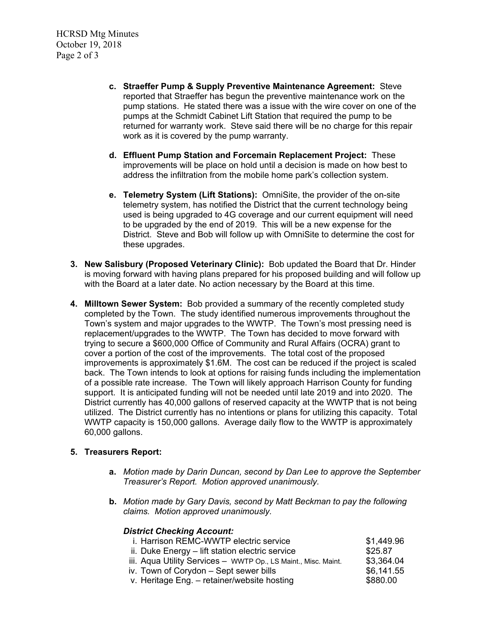HCRSD Mtg Minutes October 19, 2018 Page 2 of 3

- **c. Straeffer Pump & Supply Preventive Maintenance Agreement:** Steve reported that Straeffer has begun the preventive maintenance work on the pump stations. He stated there was a issue with the wire cover on one of the pumps at the Schmidt Cabinet Lift Station that required the pump to be returned for warranty work. Steve said there will be no charge for this repair work as it is covered by the pump warranty.
- **d. Effluent Pump Station and Forcemain Replacement Project:** These improvements will be place on hold until a decision is made on how best to address the infiltration from the mobile home park's collection system.
- **e. Telemetry System (Lift Stations):** OmniSite, the provider of the on-site telemetry system, has notified the District that the current technology being used is being upgraded to 4G coverage and our current equipment will need to be upgraded by the end of 2019. This will be a new expense for the District. Steve and Bob will follow up with OmniSite to determine the cost for these upgrades.
- **3. New Salisbury (Proposed Veterinary Clinic):** Bob updated the Board that Dr. Hinder is moving forward with having plans prepared for his proposed building and will follow up with the Board at a later date. No action necessary by the Board at this time.
- **4. Milltown Sewer System:** Bob provided a summary of the recently completed study completed by the Town. The study identified numerous improvements throughout the Town's system and major upgrades to the WWTP. The Town's most pressing need is replacement/upgrades to the WWTP. The Town has decided to move forward with trying to secure a \$600,000 Office of Community and Rural Affairs (OCRA) grant to cover a portion of the cost of the improvements. The total cost of the proposed improvements is approximately \$1.6M. The cost can be reduced if the project is scaled back. The Town intends to look at options for raising funds including the implementation of a possible rate increase. The Town will likely approach Harrison County for funding support. It is anticipated funding will not be needed until late 2019 and into 2020. The District currently has 40,000 gallons of reserved capacity at the WWTP that is not being utilized. The District currently has no intentions or plans for utilizing this capacity. Total WWTP capacity is 150,000 gallons. Average daily flow to the WWTP is approximately 60,000 gallons.

## **5. Treasurers Report:**

- **a.** *Motion made by Darin Duncan, second by Dan Lee to approve the September Treasurer's Report. Motion approved unanimously.*
- **b.** *Motion made by Gary Davis, second by Matt Beckman to pay the following claims. Motion approved unanimously.*

### *District Checking Account:*

| \$1,449.96 |
|------------|
| \$25.87    |
| \$3,364.04 |
| \$6,141.55 |
| \$880.00   |
|            |